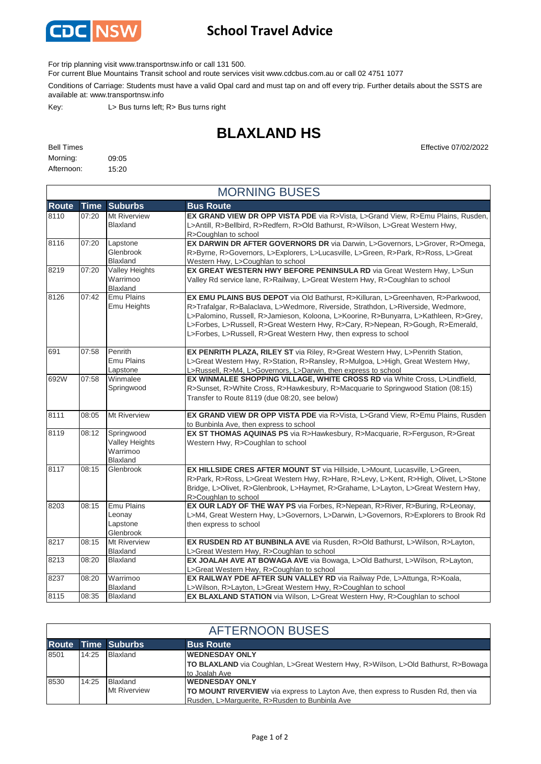

## **School Travel Advice**

For trip planning visit www.transportnsw.info or call 131 500.

For current Blue Mountains Transit school and route services visit www.cdcbus.com.au or call 02 4751 1077

Conditions of Carriage: Students must have a valid Opal card and must tap on and off every trip. Further details about the SSTS are available at: www.transportnsw.info

Key: L> Bus turns left; R> Bus turns right

## **BLAXLAND HS**

| <b>Bell Times</b> |       | Effective 07/02/2022 |
|-------------------|-------|----------------------|
| Morning:          | 09:05 |                      |
| Afternoon: 15:20  |       |                      |

|              | <b>MORNING BUSES</b> |                                                      |                                                                                                                                                                                                                                                                                                                                                                                                                    |  |  |
|--------------|----------------------|------------------------------------------------------|--------------------------------------------------------------------------------------------------------------------------------------------------------------------------------------------------------------------------------------------------------------------------------------------------------------------------------------------------------------------------------------------------------------------|--|--|
| <b>Route</b> | <b>Time</b>          | <b>Suburbs</b>                                       | <b>Bus Route</b>                                                                                                                                                                                                                                                                                                                                                                                                   |  |  |
| 8110         | 07:20                | Mt Riverview<br>Blaxland                             | <b>EX GRAND VIEW DR OPP VISTA PDE</b> via R>Vista, L>Grand View, R>Emu Plains, Rusden,<br>L>Antill, R>Bellbird, R>Redfern, R>Old Bathurst, R>Wilson, L>Great Western Hwy,<br>R>Coughlan to school                                                                                                                                                                                                                  |  |  |
| 8116         | 07:20                | Lapstone<br>Glenbrook<br>Blaxland                    | EX DARWIN DR AFTER GOVERNORS DR via Darwin, L>Governors, L>Grover, R>Omega,<br>R>Byrne, R>Governors, L>Explorers, L>Lucasville, L>Green, R>Park, R>Ross, L>Great<br>Western Hwy, L>Coughlan to school                                                                                                                                                                                                              |  |  |
| 8219         | 07:20                | <b>Valley Heights</b><br>Warrimoo<br><b>Blaxland</b> | EX GREAT WESTERN HWY BEFORE PENINSULA RD via Great Western Hwy, L>Sun<br>Valley Rd service lane, R>Railway, L>Great Western Hwy, R>Coughlan to school                                                                                                                                                                                                                                                              |  |  |
| 8126         | 07:42                | Emu Plains<br>Emu Heights                            | EX EMU PLAINS BUS DEPOT via Old Bathurst, R>Killuran, L>Greenhaven, R>Parkwood,<br>R>Trafalgar, R>Balaclava, L>Wedmore, Riverside, Strathdon, L>Riverside, Wedmore,<br>L>Palomino, Russell, R>Jamieson, Koloona, L>Koorine, R>Bunyarra, L>Kathleen, R>Grey,<br>L>Forbes, L>Russell, R>Great Western Hwy, R>Cary, R>Nepean, R>Gough, R>Emerald,<br>L>Forbes, L>Russell, R>Great Western Hwy, then express to school |  |  |
| 691          | 07:58                | Penrith<br><b>Emu Plains</b><br>Lapstone             | EX PENRITH PLAZA, RILEY ST via Riley, R>Great Western Hwy, L>Penrith Station,<br>L>Great Western Hwy, R>Station, R>Ransley, R>Mulgoa, L>High, Great Western Hwy,<br>L>Russell, R>M4, L>Governors, L>Darwin, then express to school                                                                                                                                                                                 |  |  |
| 692W         | 07:58                | Winmalee<br>Springwood                               | EX WINMALEE SHOPPING VILLAGE, WHITE CROSS RD via White Cross, L>Lindfield,<br>R>Sunset, R>White Cross, R>Hawkesbury, R>Macquarie to Springwood Station (08:15)<br>Transfer to Route 8119 (due 08:20, see below)                                                                                                                                                                                                    |  |  |
| 8111         | 08:05                | Mt Riverview                                         | EX GRAND VIEW DR OPP VISTA PDE via R>Vista, L>Grand View, R>Emu Plains, Rusden<br>to Bunbinla Ave, then express to school                                                                                                                                                                                                                                                                                          |  |  |
| 8119         | 08:12                | Springwood<br>Valley Heights<br>Warrimoo<br>Blaxland | EX ST THOMAS AQUINAS PS via R>Hawkesbury, R>Macquarie, R>Ferguson, R>Great<br>Western Hwy, R>Coughlan to school                                                                                                                                                                                                                                                                                                    |  |  |
| 8117         | 08:15                | Glenbrook                                            | EX HILLSIDE CRES AFTER MOUNT ST via Hillside, L>Mount, Lucasville, L>Green,<br>R>Park, R>Ross, L>Great Western Hwy, R>Hare, R>Levy, L>Kent, R>High, Olivet, L>Stone<br>Bridge, L>Olivet, R>Glenbrook, L>Haymet, R>Grahame, L>Layton, L>Great Western Hwy,<br>R>Coughlan to school                                                                                                                                  |  |  |
| 8203         | 08:15                | Emu Plains<br>Leonay<br>Lapstone<br>Glenbrook        | EX OUR LADY OF THE WAY PS via Forbes, R>Nepean, R>River, R>Buring, R>Leonay,<br>L>M4, Great Western Hwy, L>Governors, L>Darwin, L>Governors, R>Explorers to Brook Rd<br>then express to school                                                                                                                                                                                                                     |  |  |
| 8217         | 08:15                | Mt Riverview<br>Blaxland                             | EX RUSDEN RD AT BUNBINLA AVE via Rusden, R>Old Bathurst, L>Wilson, R>Layton,<br>L>Great Western Hwy, R>Coughlan to school                                                                                                                                                                                                                                                                                          |  |  |
| 8213         | 08:20                | <b>Blaxland</b>                                      | EX JOALAH AVE AT BOWAGA AVE via Bowaga, L>Old Bathurst, L>Wilson, R>Layton,                                                                                                                                                                                                                                                                                                                                        |  |  |
| 8237         | 08:20                | Warrimoo<br>Blaxland                                 | L>Great Western Hwy, R>Coughlan to school<br>EX RAILWAY PDE AFTER SUN VALLEY RD via Railway Pde, L>Attunga, R>Koala,<br>L>Wilson, R>Layton, L>Great Western Hwy, R>Coughlan to school                                                                                                                                                                                                                              |  |  |
| 8115         | 08:35                | <b>Blaxland</b>                                      | EX BLAXLAND STATION via Wilson, L>Great Western Hwy, R>Coughlan to school                                                                                                                                                                                                                                                                                                                                          |  |  |

| <b>AFTERNOON BUSES</b> |       |                                 |                                                                                                                                                              |  |
|------------------------|-------|---------------------------------|--------------------------------------------------------------------------------------------------------------------------------------------------------------|--|
|                        |       | <b>Route Time Suburbs</b>       | <b>Bus Route</b>                                                                                                                                             |  |
| 8501                   | 14:25 | Blaxland                        | <b>WEDNESDAY ONLY</b><br><b>TO BLAXLAND</b> via Coughlan, L>Great Western Hwy, R>Wilson, L>Old Bathurst, R>Bowaga<br>to Joalah Ave                           |  |
| 8530                   | 14:25 | Blaxland<br><b>Mt Riverview</b> | <b>WEDNESDAY ONLY</b><br>TO MOUNT RIVERVIEW via express to Layton Ave, then express to Rusden Rd, then via<br>Rusden, L>Marquerite, R>Rusden to Bunbinla Ave |  |